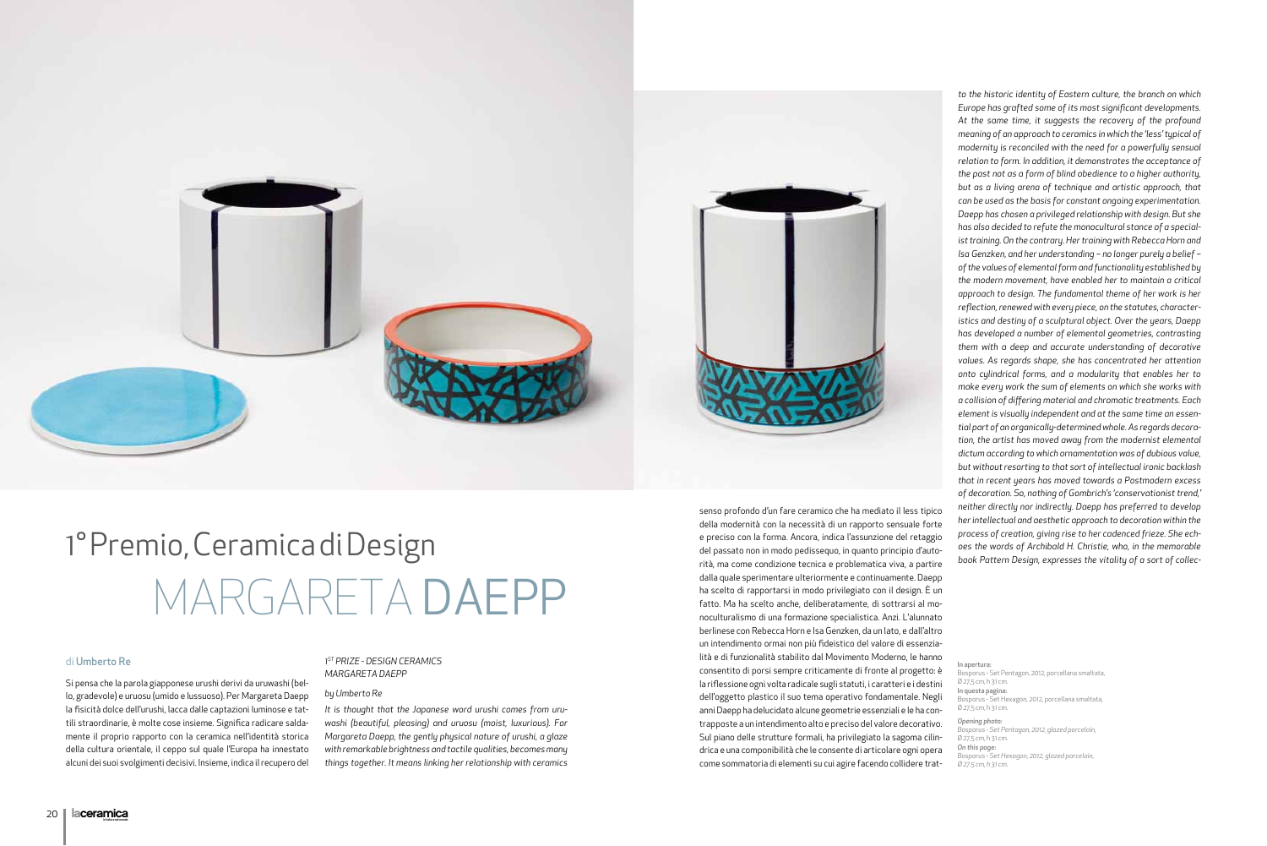## di Umberto Re

Si pensa che la parola giapponese urushi derivi da uruwashi (bello, gradevole) e uruosu (umido e lussuoso). Per Margareta Daepp la fisicità dolce dell'urushi, lacca dalle captazioni luminose e tattili straordinarie, è molte cose insieme. Significa radicare saldamente il proprio rapporto con la ceramica nell'identità storica della cultura orientale, il ceppo sul quale l'Europa ha innestato alcuni dei suoi svolgimenti decisivi. Insieme, indica il recupero del

## *1ST PRIZE - DESIGN CERAMICS MARGARETA DAEPP*

### *by Umberto Re*

*It is thought that the Japanese word urushi comes from uruwashi (beautiful, pleasing) and uruosu (moist, luxurious). For Margareta Daepp, the gently physical nature of urushi, a glaze with remarkable brightness and tactile qualities, becomes many things together. It means linking her relationship with ceramics* 



# MARGARETA DAEPP 1° Premio, Ceramica di Design

senso profondo d'un fare ceramico che ha mediato il less tipico della modernità con la necessità di un rapporto sensuale forte e preciso con la forma. Ancora, indica l'assunzione del retaggio del passato non in modo pedissequo, in quanto principio d'autorità, ma come condizione tecnica e problematica viva, a partire dalla quale sperimentare ulteriormente e continuamente. Daepp ha scelto di rapportarsi in modo privilegiato con il design. È un fatto. Ma ha scelto anche, deliberatamente, di sottrarsi al monoculturalismo di una formazione specialistica. Anzi. L'alunnato berlinese con Rebecca Horn e Isa Genzken, da un lato, e dall'altro un intendimento ormai non più fideistico del valore di essenzialità e di funzionalità stabilito dal Movimento Moderno, le hanno consentito di porsi sempre criticamente di fronte al progetto: è la riflessione ogni volta radicale sugli statuti, i caratteri e i destini dell'oggetto plastico il suo tema operativo fondamentale. Negli anni Daepp ha delucidato alcune geometrie essenziali e le ha contrapposte a un intendimento alto e preciso del valore decorativo. Sul piano delle strutture formali, ha privilegiato la sagoma cilindrica e una componibilità che le consente di articolare ogni opera come sommatoria di elementi su cui agire facendo collidere trat-

*to the historic identity of Eastern culture, the branch on which Europe has grafted some of its most significant developments. At the same time, it suggests the recovery of the profound meaning of an approach to ceramics in which the 'less' typical of modernity is reconciled with the need for a powerfully sensual relation to form. In addition, it demonstrates the acceptance of the past not as a form of blind obedience to a higher authority, but as a living arena of technique and artistic approach, that can be used as the basis for constant ongoing experimentation. Daepp has chosen a privileged relationship with design. But she has also decided to refute the monocultural stance of a specialist training. On the contrary. Her training with Rebecca Horn and Isa Genzken, and her understanding – no longer purely a belief – of the values of elemental form and functionality established by the modern movement, have enabled her to maintain a critical approach to design. The fundamental theme of her work is her reflection, renewed with every piece, on the statutes, characteristics and destiny of a sculptural object. Over the years, Daepp has developed a number of elemental geometries, contrasting them with a deep and accurate understanding of decorative values. As regards shape, she has concentrated her attention onto cylindrical forms, and a modularity that enables her to make every work the sum of elements on which she works with a collision of differing material and chromatic treatments. Each element is visually independent and at the same time an essential part of an organically-determined whole. As regards decoration, the artist has moved away from the modernist elemental dictum according to which ornamentation was of dubious value, but without resorting to that sort of intellectual ironic backlash that in recent years has moved towards a Postmodern excess of decoration. So, nothing of Gombrich's 'conservationist trend,' neither directly nor indirectly. Daepp has preferred to develop her intellectual and aesthetic approach to decoration within the process of creation, giving rise to her cadenced frieze. She echoes the words of Archibald H. Christie, who, in the memorable book Pattern Design, expresses the vitality of a sort of collec-*

In apertura:

Bosporus - Set Pentagon, 2012, porcellana smaltata, Ø 27,5 cm, h 31 cm.

In questa pagina:

Bosporus - Set Hexagon, 2012, porcellana smaltata, Ø 27,5 cm, h 31 cm.

*Opening photo:* 

*Bosporus - Set Pentagon, 2012, glazed porcelain,* Ø 27,5 cm, h 31 cm.

*On this page:*

*Bosporus - Set Hexagon, 2012, glazed porcelain, Ø 27.5 cm, h 31 cm.*